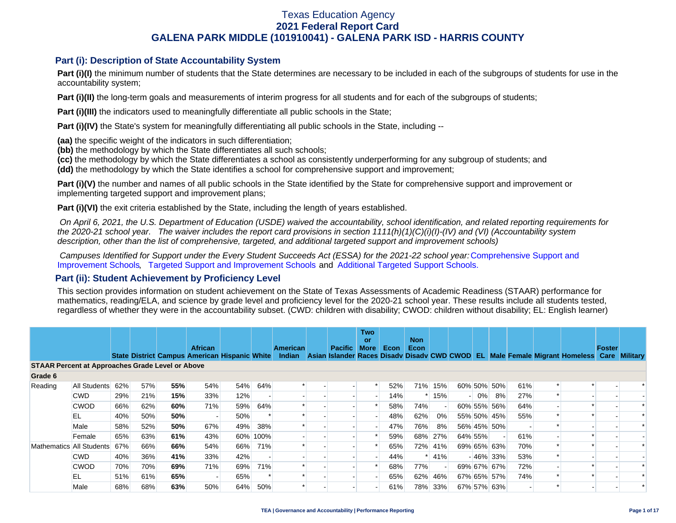### **Part (i): Description of State Accountability System**

**Part (i)(I)** the minimum number of students that the State determines are necessary to be included in each of the subgroups of students for use in the accountability system;

**Part (i)(II)** the long-term goals and measurements of interim progress for all students and for each of the subgroups of students;

**Part (i)(III)** the indicators used to meaningfully differentiate all public schools in the State;

**Part (i)(IV)** the State's system for meaningfully differentiating all public schools in the State, including --

**(aa)** the specific weight of the indicators in such differentiation;

**(bb)** the methodology by which the State differentiates all such schools;

**(cc)** the methodology by which the State differentiates a school as consistently underperforming for any subgroup of students; and

**(dd)** the methodology by which the State identifies a school for comprehensive support and improvement;

**Part (i)(V)** the number and names of all public schools in the State identified by the State for comprehensive support and improvement or implementing targeted support and improvement plans;

**Part (i)(VI)** the exit criteria established by the State, including the length of years established.

 *On April 6, 2021, the U.S. Department of Education (USDE) waived the accountability, school identification, and related reporting requirements for the 2020-21 school year. The waiver includes the report card provisions in section 1111(h)(1)(C)(i)(I)-(IV) and (VI) (Accountability system description, other than the list of comprehensive, targeted, and additional targeted support and improvement schools)* 

*Campuses Identified for Support under the Every Student Succeeds Act (ESSA) for the 2021-22 school year:* [Comprehensive Support and](https://tea.texas.gov/sites/default/files/comprehensive_support_2021.xlsx) [Improvement Schools](https://tea.texas.gov/sites/default/files/comprehensive_support_2021.xlsx), [Targeted Support and Improvement Schools](https://tea.texas.gov/sites/default/files/targeted_support_2021.xlsx) and [Additional Targeted Support Schools.](https://tea.texas.gov/sites/default/files/additional_targeted_support_2021.xlsx)

### **Part (ii): Student Achievement by Proficiency Level**

This section provides information on student achievement on the State of Texas Assessments of Academic Readiness (STAAR) performance for mathematics, reading/ELA, and science by grade level and proficiency level for the 2020-21 school year. These results include all students tested, regardless of whether they were in the accountability subset. (CWD: children with disability; CWOD: children without disability; EL: English learner)

|                                                         |              |     |     |     | <b>African</b> |                                                      |          | American | <b>Pacific</b> | <b>Two</b><br>or<br><b>More</b> | Econ | <b>Non</b><br>Econ |         |             |       |             |     |                                                                                           | Foster |  |
|---------------------------------------------------------|--------------|-----|-----|-----|----------------|------------------------------------------------------|----------|----------|----------------|---------------------------------|------|--------------------|---------|-------------|-------|-------------|-----|-------------------------------------------------------------------------------------------|--------|--|
|                                                         |              |     |     |     |                | <b>State District Campus American Hispanic White</b> |          | Indian   |                |                                 |      |                    |         |             |       |             |     | Asian Islander Races Disady Disady CWD CWOD EL Male Female Migrant Homeless Care Military |        |  |
| <b>STAAR Percent at Approaches Grade Level or Above</b> |              |     |     |     |                |                                                      |          |          |                |                                 |      |                    |         |             |       |             |     |                                                                                           |        |  |
| Grade 6                                                 |              |     |     |     |                |                                                      |          |          |                |                                 |      |                    |         |             |       |             |     |                                                                                           |        |  |
| Reading                                                 | All Students | 62% | 57% | 55% | 54%            | 54%                                                  | 64%      |          |                |                                 | 52%  |                    | 71% 15% | 60% 50% 50% |       |             | 61% |                                                                                           |        |  |
|                                                         | <b>CWD</b>   | 29% | 21% | 15% | 33%            | 12%                                                  |          |          |                |                                 | 14%  |                    | 15%     | $-1$        | $0\%$ | 8%          | 27% |                                                                                           |        |  |
|                                                         | <b>CWOD</b>  | 66% | 62% | 60% | 71%            | 59%                                                  | 64%      |          |                |                                 | 58%  | 74%                |         |             |       | 60% 55% 56% | 64% |                                                                                           |        |  |
|                                                         | EL           | 40% | 50% | 50% |                | 50%                                                  |          |          |                |                                 | 48%  | 62%                | 0%      |             |       | 55% 50% 45% | 55% |                                                                                           |        |  |
|                                                         | Male         | 58% | 52% | 50% | 67%            | 49%                                                  | 38%      |          |                |                                 | 47%  | 76%                | 8%      |             |       | 56% 45% 50% |     |                                                                                           |        |  |
|                                                         | Female       | 65% | 63% | 61% | 43%            |                                                      | 60% 100% |          |                |                                 | 59%  | 68%                | 27%     | 64% 55%     |       |             | 61% |                                                                                           |        |  |
| Mathematics All Students                                |              | 67% | 66% | 66% | 54%            | 66%                                                  | 71%      |          |                |                                 | 65%  |                    | 72% 41% |             |       | 69% 65% 63% | 70% |                                                                                           |        |  |
|                                                         | <b>CWD</b>   | 40% | 36% | 41% | 33%            | 42%                                                  |          |          |                |                                 | 44%  |                    | 41%     |             |       | $-46\%$ 33% | 53% |                                                                                           |        |  |
|                                                         | <b>CWOD</b>  | 70% | 70% | 69% | 71%            | 69%                                                  | 71%      |          |                |                                 | 68%  | 77%                |         |             |       | 69% 67% 67% | 72% |                                                                                           |        |  |
|                                                         | EL           | 51% | 61% | 65% |                | 65%                                                  |          |          |                |                                 | 65%  | 62%                | 46%     |             |       | 67% 65% 57% | 74% |                                                                                           |        |  |
|                                                         | Male         | 68% | 68% | 63% | 50%            | 64%                                                  | 50%      |          |                |                                 | 61%  | 78%                | 33%     |             |       | 67% 57% 63% |     |                                                                                           |        |  |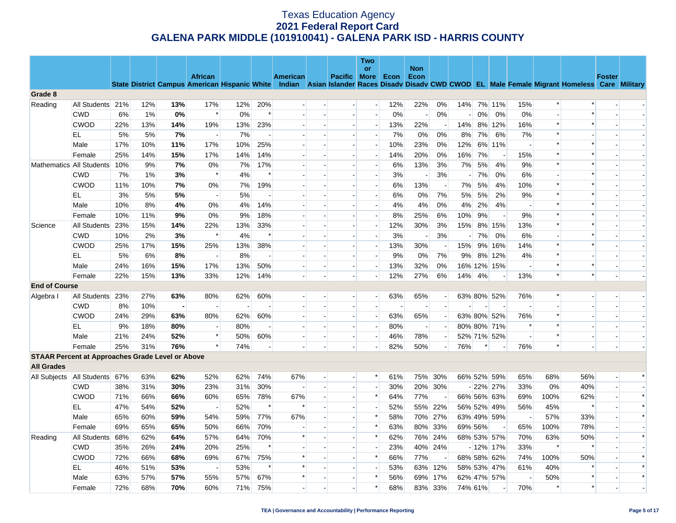|                                                         |                  |           |            |            |                          |            |                          |                 |                |                          | <b>Two</b><br>or                                     |            | <b>Non</b>            |                              |         |    |                            |                          |        |                                                                                                                                                |               |        |
|---------------------------------------------------------|------------------|-----------|------------|------------|--------------------------|------------|--------------------------|-----------------|----------------|--------------------------|------------------------------------------------------|------------|-----------------------|------------------------------|---------|----|----------------------------|--------------------------|--------|------------------------------------------------------------------------------------------------------------------------------------------------|---------------|--------|
|                                                         |                  |           |            |            | <b>African</b>           |            |                          | <b>American</b> |                | <b>Pacific</b>           | <b>More</b>                                          | Econ       | Econ                  |                              |         |    |                            |                          |        |                                                                                                                                                | <b>Foster</b> |        |
|                                                         |                  |           |            |            |                          |            |                          |                 |                |                          |                                                      |            |                       |                              |         |    |                            |                          |        | State District Campus American Hispanic White Indian Asian Islander Races Disady Disady CWD CWOD EL Male Female Migrant Homeless Care Military |               |        |
| Grade 8                                                 |                  |           |            |            |                          |            |                          |                 |                |                          |                                                      |            |                       |                              |         |    |                            |                          | $\ast$ | $\ast$                                                                                                                                         |               |        |
| Reading                                                 | All Students     | 21%       | 12%        | 13%        | 17%<br>$\ast$            | 12%        | 20%<br>$\ast$            | $\overline{a}$  |                | $\overline{a}$           | $\overline{a}$                                       | 12%        | 22%                   | 0%                           | 14%     |    | 7% 11%                     | 15%                      |        | $\ast$                                                                                                                                         |               |        |
|                                                         | <b>CWD</b>       | 6%        | 1%         | 0%         |                          | 0%         |                          |                 |                |                          | $\overline{a}$                                       | 0%         |                       | 0%                           |         | 0% | 0%                         | 0%                       | $\ast$ | $\ast$                                                                                                                                         |               |        |
|                                                         | <b>CWOD</b>      | 22%       | 13%        | 14%        | 19%                      | 13%        | 23%                      |                 |                | $\overline{a}$           | $\overline{\phantom{a}}$                             | 13%        | 22%                   | $\sim$                       | 14%     |    | 8% 12%                     | 16%                      | $\ast$ |                                                                                                                                                |               |        |
|                                                         | EL               | 5%        | 5%         | 7%         |                          | 7%         |                          |                 |                |                          | $\overline{a}$                                       | 7%         | 0%                    | 0%                           | 8%      | 7% | 6%                         | 7%                       | $\ast$ |                                                                                                                                                |               |        |
|                                                         | Male             | 17%       | 10%        | 11%        | 17%                      | 10%        | 25%                      |                 |                |                          | $\overline{\phantom{a}}$                             | 10%        | 23%                   | 0%                           | 12%     |    | 6% 11%                     | $\overline{\phantom{a}}$ | $\ast$ |                                                                                                                                                |               |        |
|                                                         | Female           | 25%       | 14%        | 15%        | 17%                      | 14%        | 14%                      |                 |                |                          | $\overline{\phantom{a}}$                             | 14%        | 20%                   | 0%                           | 16%     | 7% |                            | 15%                      | $\ast$ |                                                                                                                                                |               |        |
| Mathematics All Students                                |                  | 10%       | 9%         | 7%         | 0%<br>$\ast$             | 7%         | 17%<br>$\ast$            |                 |                |                          | $\overline{\phantom{a}}$                             | 6%         | 13%                   | 3%                           | 7%      | 5% | 4%                         | 9%                       |        | $\ast$                                                                                                                                         |               |        |
|                                                         | <b>CWD</b>       | 7%        | 1%         | 3%         |                          | 4%         |                          |                 |                |                          | $\overline{a}$                                       | 3%         |                       | 3%                           | $\sim$  | 7% | 0%                         | 6%                       | $\ast$ | $\ast$                                                                                                                                         |               |        |
|                                                         | <b>CWOD</b>      | 11%       | 10%        | 7%         | 0%<br>$\overline{a}$     | 7%         | 19%                      |                 |                |                          | $\overline{\phantom{a}}$                             | 6%         | 13%                   | $\overline{\phantom{a}}$     | 7%      | 5% | 4%                         | 10%                      | $\ast$ | $\ast$                                                                                                                                         |               |        |
|                                                         | EL               | 3%        | 5%         | 5%         |                          | 5%         | $\overline{\phantom{a}}$ |                 |                |                          | $\overline{a}$                                       | 6%         | 0%                    | 7%                           | 5%      | 5% | 2%                         | 9%                       | $\ast$ | $\ast$                                                                                                                                         |               |        |
|                                                         | Male             | 10%       | 8%         | 4%         | 0%                       | 4%         | 14%                      |                 |                |                          | $\overline{\phantom{a}}$                             | 4%         | 4%                    | 0%                           | 4%      | 2% | 4%                         | $\sim$                   | $\ast$ |                                                                                                                                                |               |        |
|                                                         | Female           | 10%       | 11%        | 9%         | 0%                       | 9%         | 18%                      |                 |                |                          | $\overline{\phantom{a}}$                             | 8%         | 25%                   | 6%                           | 10%     | 9% |                            | 9%                       | $\ast$ | $\ast$                                                                                                                                         |               |        |
| Science                                                 | All Students     | 23%       | 15%        | 14%        | 22%<br>$\ast$            | 13%        | 33%<br>$\ast$            |                 |                |                          | $\overline{a}$                                       | 12%        | 30%                   | 3%                           | 15%     |    | 8% 15%<br>0%               | 13%                      |        | $\ast$                                                                                                                                         |               |        |
|                                                         | <b>CWD</b>       | 10%       | 2%         | 3%         |                          | 4%         |                          |                 |                | $\overline{a}$           | $\overline{\phantom{a}}$                             | 3%         |                       | 3%                           |         | 7% |                            | 6%                       | $\ast$ | $\ast$                                                                                                                                         |               |        |
|                                                         | <b>CWOD</b>      | 25%       | 17%        | 15%        | 25%                      | 13%        | 38%                      |                 |                |                          | $\overline{\phantom{a}}$<br>$\overline{\phantom{a}}$ | 13%        | 30%                   |                              | 15%     | 9% | 16%                        | 14%                      | $\ast$ |                                                                                                                                                |               |        |
|                                                         | EL.              | 5%        | 6%         | 8%         |                          | 8%         |                          |                 |                |                          |                                                      | 9%         | 0%                    | 7%                           | $9\%$   |    | 8% 12%                     | 4%                       | $\ast$ | $\ast$                                                                                                                                         |               |        |
|                                                         | Male             | 24%       | 16%        | 15%        | 17%                      | 13%        | 50%                      |                 | $\overline{a}$ | $\overline{\phantom{a}}$ | $\overline{a}$<br>$\blacksquare$                     | 13%<br>12% | 32%                   | 0%                           |         |    | 16% 12% 15%                | $\sim$                   | $\ast$ | $\ast$                                                                                                                                         |               |        |
|                                                         | Female           | 22%       | 15%        | 13%        | 33%                      | 12%        | 14%                      |                 |                |                          |                                                      |            | 27%                   | 6%                           | 14%     | 4% |                            | 13%                      |        |                                                                                                                                                |               |        |
| <b>End of Course</b>                                    |                  |           | 27%        | 63%        | 80%                      |            | 60%                      | $\overline{a}$  |                | $\overline{a}$           | $-$                                                  | 63%        |                       |                              |         |    |                            | 76%                      | $\ast$ |                                                                                                                                                |               |        |
| Algebra I                                               | All Students 23% |           |            |            |                          | 62%        |                          |                 |                |                          | $\overline{a}$                                       |            | 65%                   | $\left  - \right $<br>$\sim$ |         |    | 63% 80% 52%                |                          |        |                                                                                                                                                |               |        |
|                                                         | <b>CWD</b>       | 8%        | 10%        |            |                          |            | 60%                      |                 | $\overline{a}$ | $\overline{a}$           | н.                                                   |            |                       | $\overline{a}$               |         |    |                            |                          | $\ast$ |                                                                                                                                                |               |        |
|                                                         | <b>CWOD</b>      | 24%       | 29%        | 63%        | 80%                      | 62%        |                          |                 |                | $\blacksquare$           | $\overline{a}$                                       | 63%        | 65%<br>$\overline{a}$ | $\overline{\phantom{a}}$     |         |    | 63% 80% 52%                | 76%<br>$\ast$            | $\ast$ |                                                                                                                                                |               |        |
|                                                         | EL<br>Male       | 9%<br>21% | 18%<br>24% | 80%<br>52% | $\ast$                   | 80%<br>50% | 60%                      |                 | $\blacksquare$ | $\blacksquare$           | $\sim$                                               | 80%<br>46% | 78%                   | $\overline{a}$               |         |    | 80% 80% 71%<br>52% 71% 52% | $\overline{\phantom{a}}$ | $\ast$ |                                                                                                                                                |               |        |
|                                                         | Female           | 25%       | 31%        | 76%        | $\ast$                   | 74%        |                          |                 |                |                          | $\overline{a}$                                       | 82%        | 50%                   |                              | 76%     | *  |                            | 76%                      | $\ast$ |                                                                                                                                                |               |        |
| <b>STAAR Percent at Approaches Grade Level or Above</b> |                  |           |            |            |                          |            |                          |                 |                |                          |                                                      |            |                       |                              |         |    |                            |                          |        |                                                                                                                                                |               |        |
| <b>All Grades</b>                                       |                  |           |            |            |                          |            |                          |                 |                |                          |                                                      |            |                       |                              |         |    |                            |                          |        |                                                                                                                                                |               |        |
| All Subjects                                            | All Students 67% |           | 63%        | 62%        | 52%                      | 62%        | 74%                      | 67%             |                |                          | $\ast$                                               | 61%        |                       | 75% 30%                      |         |    | 66% 52% 59%                | 65%                      | 68%    | 56%                                                                                                                                            |               | $\ast$ |
|                                                         | <b>CWD</b>       | 38%       | 31%        | 30%        | 23%                      | 31%        | 30%                      | $\overline{a}$  |                |                          | $\overline{a}$                                       | 30%        |                       | 20% 30%                      |         |    | $-22\%$ 27%                | 33%                      | 0%     | 40%                                                                                                                                            | $\sim$        |        |
|                                                         | <b>CWOD</b>      | 71%       | 66%        | 66%        | 60%                      | 65%        | 78%                      | 67%             |                |                          | $\ast$                                               | 64%        | 77%                   |                              |         |    | 66% 56% 63%                | 69%                      | 100%   | 62%                                                                                                                                            |               | $\ast$ |
|                                                         | EL               | 47%       | 54%        | 52%        | $\overline{\phantom{a}}$ | 52%        | $\ast$                   | $\ast$          |                | $\overline{a}$           | $\overline{a}$                                       | 52%        | 55%                   | 22%                          |         |    | 56% 52% 49%                | 56%                      | 45%    | $\ast$                                                                                                                                         |               | $\ast$ |
|                                                         | Male             | 65%       | 60%        | 59%        | 54%                      | 59%        | 77%                      | 67%             |                |                          | $\ast$                                               | 58%        | 70%                   | 27%                          |         |    | 63% 49% 59%                | $\sim$                   | 57%    | 33%                                                                                                                                            |               | $\ast$ |
|                                                         | Female           | 69%       | 65%        | 65%        | 50%                      | 66%        | 70%                      |                 |                |                          | $\ast$                                               | 63%        | 80%                   | 33%                          | 69% 56% |    |                            | 65%                      | 100%   | 78%                                                                                                                                            |               |        |
| Reading                                                 | All Students     | 68%       | 62%        | 64%        | 57%                      | 64%        | 70%                      | $\ast$          |                |                          | $\ast$                                               | 62%        | 76%                   | 24%                          |         |    | 68% 53% 57%                | 70%                      | 63%    | 50%                                                                                                                                            |               | $\ast$ |
|                                                         | <b>CWD</b>       | 35%       | 26%        | 24%        | 20%                      | 25%        | $\ast$                   |                 |                |                          | $\overline{\phantom{a}}$                             | 23%        |                       | 40% 24%                      |         |    | $-12\%$ 17%                | 33%                      | $\ast$ | $\ast$                                                                                                                                         |               |        |
|                                                         | <b>CWOD</b>      | 72%       | 66%        | 68%        | 69%                      | 67%        | 75%                      | $\ast$          |                | $\overline{\phantom{a}}$ | $\ast$                                               | 66%        | 77%                   |                              |         |    | 68% 58% 62%                | 74%                      | 100%   | 50%                                                                                                                                            |               | $\ast$ |
|                                                         | EL.              | 46%       | 51%        | 53%        |                          | 53%        | $\ast$                   | $\ast$          |                |                          | $\overline{\phantom{a}}$                             | 53%        |                       | 63% 12%                      |         |    | 58% 53% 47%                | 61%                      | 40%    | $\ast$                                                                                                                                         |               | $\ast$ |
|                                                         | Male             | 63%       | 57%        | 57%        | 55%                      | 57%        | 67%                      | $\ast$          |                | $\overline{\phantom{a}}$ | $\ast$                                               | 56%        | 69%                   | 17%                          |         |    | 62% 47% 57%                | $\overline{\phantom{a}}$ | 50%    | $\ast$                                                                                                                                         |               | $\ast$ |
|                                                         |                  | 72%       | 68%        | 70%        | 60%                      | 71%        | 75%                      |                 |                |                          | $\ast$                                               | 68%        |                       | 83% 33%                      | 74% 61% |    |                            | 70%                      | $\ast$ | $\ast$                                                                                                                                         |               |        |
|                                                         | Female           |           |            |            |                          |            |                          |                 |                |                          |                                                      |            |                       |                              |         |    |                            |                          |        |                                                                                                                                                |               |        |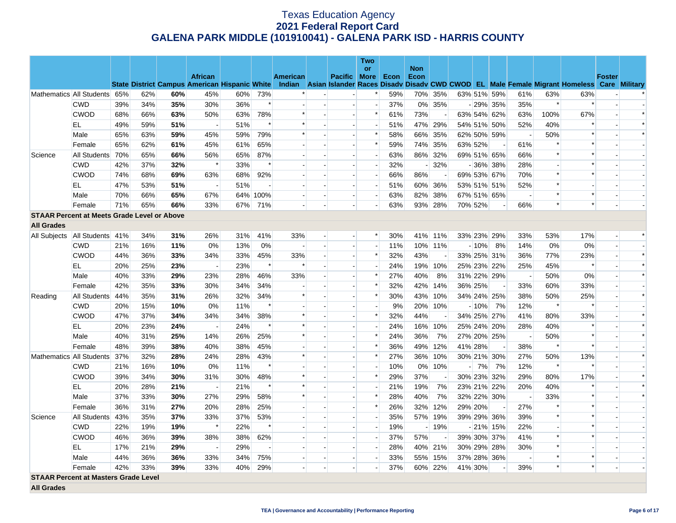|                                                    |                  |     |     |     |                |                                                      |        |          |                          |                          | <b>Two</b>               |      |                    |         |         |                          |                          |        |                                                                                                  |               |        |
|----------------------------------------------------|------------------|-----|-----|-----|----------------|------------------------------------------------------|--------|----------|--------------------------|--------------------------|--------------------------|------|--------------------|---------|---------|--------------------------|--------------------------|--------|--------------------------------------------------------------------------------------------------|---------------|--------|
|                                                    |                  |     |     |     | <b>African</b> |                                                      |        | American |                          | <b>Pacific More</b>      | or                       | Econ | <b>Non</b><br>Econ |         |         |                          |                          |        |                                                                                                  | <b>Foster</b> |        |
|                                                    |                  |     |     |     |                | <b>State District Campus American Hispanic White</b> |        |          |                          |                          |                          |      |                    |         |         |                          |                          |        | Indian Asian Islander Races Disady Disady CWD CWOD EL Male Female Migrant Homeless Care Military |               |        |
| Mathematics All Students                           |                  | 65% | 62% | 60% | 45%            | 60%                                                  | 73%    | $\ast$   |                          | $\blacksquare$           | *                        | 59%  |                    | 70% 35% |         | 63% 51% 59%              | 61%                      | 63%    | 63%                                                                                              |               |        |
|                                                    | <b>CWD</b>       | 39% | 34% | 35% | 30%            | 36%                                                  | $\ast$ |          |                          | $\overline{\phantom{a}}$ | $\overline{\phantom{a}}$ | 37%  |                    | 0% 35%  |         | $-29\%$ 35%              | 35%                      | $\ast$ |                                                                                                  |               |        |
|                                                    | <b>CWOD</b>      | 68% | 66% | 63% | 50%            | 63%                                                  | 78%    | $\ast$   | $\overline{a}$           | $\blacksquare$           | $\ast$                   | 61%  | 73%                |         |         | 63% 54% 62%              | 63%                      | 100%   | 67%                                                                                              |               | $\ast$ |
|                                                    | EL               | 49% | 59% | 51% |                | 51%                                                  | $\ast$ | $\ast$   |                          |                          | $\overline{\phantom{a}}$ | 51%  |                    | 47% 29% |         | 54% 51% 50%              | 52%                      | 40%    |                                                                                                  |               | $\ast$ |
|                                                    | Male             | 65% | 63% | 59% | 45%            | 59%                                                  | 79%    | $\ast$   | $\overline{a}$           | $\blacksquare$           | $\ast$                   | 58%  | 66%                | 35%     |         | 62% 50% 59%              | $\sim$                   | 50%    |                                                                                                  |               | $\ast$ |
|                                                    | Female           | 65% | 62% | 61% | 45%            | 61%                                                  | 65%    |          |                          |                          | $\ast$                   | 59%  |                    | 74% 35% | 63% 52% | $\overline{\phantom{a}}$ | 61%                      | $\ast$ |                                                                                                  |               |        |
| Science                                            | All Students     | 70% | 65% | 66% | 56%            | 65%                                                  | 87%    |          | $\overline{\phantom{a}}$ | $\overline{\phantom{a}}$ | $\overline{a}$           | 63%  |                    | 86% 32% |         | 69% 51% 65%              | 66%                      | $\ast$ |                                                                                                  |               |        |
|                                                    | <b>CWD</b>       | 42% | 37% | 32% | $\ast$         | 33%                                                  | $\ast$ |          |                          |                          | $\frac{1}{2}$            | 32%  |                    | 32%     |         | $-36\%$ 38%              | 28%                      |        |                                                                                                  |               |        |
|                                                    | <b>CWOD</b>      | 74% | 68% | 69% | 63%            | 68%                                                  | 92%    |          | $\overline{\phantom{a}}$ | $\overline{\phantom{a}}$ | $\overline{a}$           | 66%  | 86%                | $\sim$  |         | 69% 53% 67%              | 70%                      | $\ast$ |                                                                                                  |               |        |
|                                                    | EL               | 47% | 53% | 51% |                | 51%                                                  |        |          |                          | $\overline{\phantom{a}}$ | $\overline{\phantom{a}}$ | 51%  |                    | 60% 36% |         | 53% 51% 51%              | 52%                      | $\ast$ |                                                                                                  |               |        |
|                                                    | Male             | 70% | 66% | 65% | 67%            | 64%                                                  | 100%   |          | $\overline{a}$           | $\overline{\phantom{a}}$ | $\overline{a}$           | 63%  | 82%                | 38%     |         | 67% 51% 65%              | $\sim$                   | $\ast$ | $\ast$                                                                                           |               |        |
|                                                    | Female           | 71% | 65% | 66% | 33%            | 67%                                                  | 71%    |          |                          |                          |                          | 63%  |                    | 93% 28% | 70% 52% |                          | 66%                      | $\ast$ | $\ast$                                                                                           |               |        |
| <b>STAAR Percent at Meets Grade Level or Above</b> |                  |     |     |     |                |                                                      |        |          |                          |                          |                          |      |                    |         |         |                          |                          |        |                                                                                                  |               |        |
| <b>All Grades</b>                                  |                  |     |     |     |                |                                                      |        |          |                          |                          |                          |      |                    |         |         |                          |                          |        |                                                                                                  |               |        |
| All Subjects                                       | All Students 41% |     | 34% | 31% | 26%            | 31%                                                  | 41%    | 33%      | $\overline{a}$           | $\overline{a}$           | $\ast$                   | 30%  |                    | 41% 11% |         | 33% 23% 29%              | 33%                      | 53%    | 17%                                                                                              |               | $\ast$ |
|                                                    | <b>CWD</b>       | 21% | 16% | 11% | 0%             | 13%                                                  | $0\%$  |          |                          | $\overline{\phantom{a}}$ |                          | 11%  |                    | 10% 11% | $-10%$  | 8%                       | 14%                      | 0%     | $0\%$                                                                                            |               |        |
|                                                    | <b>CWOD</b>      | 44% | 36% | 33% | 34%            | 33%                                                  | 45%    | 33%      | $\blacksquare$           | $\overline{\phantom{a}}$ | $\ast$                   | 32%  | 43%                |         |         | 33% 25% 31%              | 36%                      | 77%    | 23%                                                                                              |               | $\ast$ |
|                                                    | EL               | 20% | 25% | 23% |                | 23%                                                  | $\ast$ | $\ast$   | $\blacksquare$           | $\overline{a}$           | $\blacksquare$           | 24%  |                    | 19% 10% |         | 25% 23% 22%              | 25%                      | 45%    |                                                                                                  |               | $\ast$ |
|                                                    | Male             | 40% | 33% | 29% | 23%            | 28%                                                  | 46%    | 33%      | $\overline{a}$           |                          | $\ast$                   | 27%  | 40%                | 8%      |         | 31% 22% 29%              | $\sim$                   | 50%    | 0%                                                                                               |               | $\ast$ |
|                                                    | Female           | 42% | 35% | 33% | 30%            | 34%                                                  | 34%    |          | $\overline{a}$           | $\overline{a}$           | $\ast$                   | 32%  | 42%                | 14%     | 36% 25% | $\overline{\phantom{a}}$ | 33%                      | 60%    | 33%                                                                                              |               |        |
| Reading                                            | All Students     | 44% | 35% | 31% | 26%            | 32%                                                  | 34%    | $\ast$   |                          |                          | $\ast$                   | 30%  | 43%                | 10%     |         | 34% 24% 25%              | 38%                      | 50%    | 25%                                                                                              |               | $\ast$ |
|                                                    | <b>CWD</b>       | 20% | 15% | 10% | 0%             | 11%                                                  | $\ast$ |          | $\overline{a}$           | $\sim$                   | $\overline{a}$           | 9%   |                    | 20% 10% | $-10%$  | 7%                       | 12%                      | $\ast$ |                                                                                                  |               |        |
|                                                    | <b>CWOD</b>      | 47% | 37% | 34% | 34%            | 34%                                                  | 38%    | $\ast$   |                          |                          | $\ast$                   | 32%  | 44%                |         |         | 34% 25% 27%              | 41%                      | 80%    | 33%                                                                                              |               | $\ast$ |
|                                                    | EL               | 20% | 23% | 24% |                | 24%                                                  | $\ast$ | $\ast$   |                          | $\overline{a}$           | $\overline{a}$           | 24%  |                    | 16% 10% |         | 25% 24% 20%              | 28%                      | 40%    |                                                                                                  |               | $\ast$ |
|                                                    | Male             | 40% | 31% | 25% | 14%            | 26%                                                  | 25%    | $\ast$   |                          | $\mathbf{u}$             | $\ast$                   | 24%  | 36%                | 7%      |         | 27% 20% 25%              | $\overline{\phantom{a}}$ | 50%    |                                                                                                  |               | $\ast$ |
|                                                    | Female           | 48% | 39% | 38% | 40%            | 38%                                                  | 45%    |          |                          | $\overline{\phantom{a}}$ | $\ast$                   | 36%  | 49%                | 12%     | 41% 28% | $\overline{\phantom{a}}$ | 38%                      | $\ast$ |                                                                                                  |               |        |
| Mathematics All Students                           |                  | 37% | 32% | 28% | 24%            | 28%                                                  | 43%    |          |                          | $\sim$                   | *                        | 27%  |                    | 36% 10% |         | 30% 21% 30%              | 27%                      | 50%    | 13%                                                                                              |               | $\ast$ |
|                                                    | <b>CWD</b>       | 21% | 16% | 10% | 0%             | 11%                                                  | $\ast$ |          |                          | $\overline{a}$           | $\overline{a}$           | 10%  | $0\%$              | 10%     | $-7%$   | 7%                       | 12%                      | $\ast$ |                                                                                                  |               |        |
|                                                    | <b>CWOD</b>      | 39% | 34% | 30% | 31%            | 30%                                                  | 48%    |          |                          | $\overline{\phantom{a}}$ | $\ast$                   | 29%  | 37%                |         |         | 30% 23% 32%              | 29%                      | 80%    | 17%                                                                                              |               | $\ast$ |
|                                                    | EL               | 20% | 28% | 21% | $\overline{a}$ | 21%                                                  | $\ast$ | $\ast$   |                          | $\overline{a}$           | $\blacksquare$           | 21%  | 19%                | 7%      |         | 23% 21% 22%              | 20%                      | 40%    | $\ast$                                                                                           |               | $\ast$ |
|                                                    | Male             | 37% | 33% | 30% | 27%            | 29%                                                  | 58%    | $\ast$   |                          | $\sim$                   | $\ast$                   | 28%  | 40%                | 7%      |         | 32% 22% 30%              | $\overline{\phantom{a}}$ | 33%    |                                                                                                  |               | $\ast$ |
|                                                    | Female           | 36% | 31% | 27% | 20%            | 28%                                                  | 25%    |          |                          |                          | $\ast$                   | 26%  | 32%                | 12%     | 29% 20% |                          | 27%                      |        |                                                                                                  |               |        |
| Science                                            | All Students     | 43% | 35% | 37% | 33%            | 37%                                                  | 53%    |          |                          | $\overline{\phantom{a}}$ |                          | 35%  |                    | 57% 19% |         | 39% 29% 36%              | 39%                      |        |                                                                                                  |               |        |
|                                                    | <b>CWD</b>       | 22% | 19% | 19% | $\ast$         | 22%                                                  | $\ast$ |          |                          |                          | $\blacksquare$           | 19%  |                    | $-19%$  |         | $-21\%$ 15%              | 22%                      |        |                                                                                                  |               |        |
|                                                    | <b>CWOD</b>      | 46% | 36% | 39% | 38%            | 38%                                                  | 62%    |          | $\overline{\phantom{a}}$ | $\sim$                   | $\blacksquare$           | 37%  | 57%                |         |         | 39% 30% 37%              | 41%                      | $\ast$ |                                                                                                  |               |        |
|                                                    | EL               | 17% | 21% | 29% |                | 29%                                                  |        |          |                          |                          |                          | 28%  |                    | 40% 21% |         | 30% 29% 28%              | 30%                      | $\ast$ |                                                                                                  |               |        |
|                                                    | Male             | 44% | 36% | 36% | 33%            | 34%                                                  | 75%    |          | $\overline{\phantom{a}}$ | $\blacksquare$           |                          | 33%  |                    | 55% 15% |         | 37% 28% 36%              | $\overline{\phantom{a}}$ | $\ast$ |                                                                                                  |               |        |
|                                                    | Female           | 42% | 33% | 39% | 33%            | 40%                                                  | 29%    |          |                          |                          |                          | 37%  |                    | 60% 22% | 41% 30% |                          | 39%                      | $\ast$ | $\ast$                                                                                           |               |        |
| <b>STAAR Percent at Masters Grade Level</b>        |                  |     |     |     |                |                                                      |        |          |                          |                          |                          |      |                    |         |         |                          |                          |        |                                                                                                  |               |        |

**All Grades**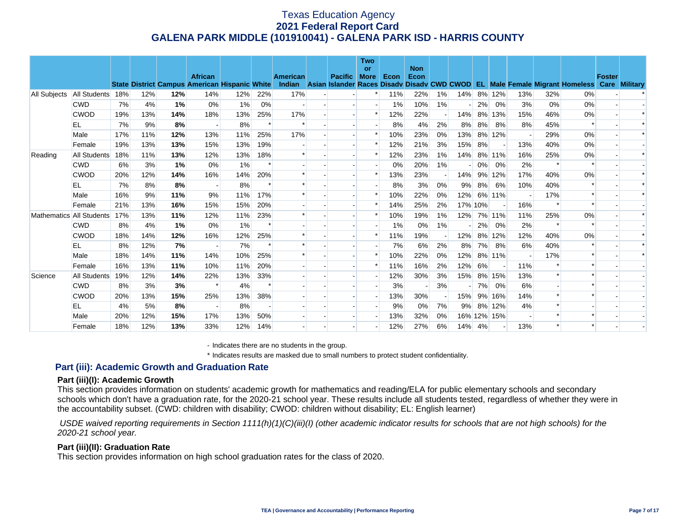|              |                          |     |     |     | <b>African</b>                                       |       |        | <b>American</b> | <b>Pacific</b> | <b>Two</b><br><b>or</b><br><b>More</b> | Econ  | <b>Non</b><br>Econ |       |         |    |             |                          |        |                                                                                    | <b>Foster</b> |                      |
|--------------|--------------------------|-----|-----|-----|------------------------------------------------------|-------|--------|-----------------|----------------|----------------------------------------|-------|--------------------|-------|---------|----|-------------|--------------------------|--------|------------------------------------------------------------------------------------|---------------|----------------------|
|              |                          |     |     |     | <b>State District Campus American Hispanic White</b> |       |        |                 |                |                                        |       |                    |       |         |    |             |                          |        | Indian Asian Islander Races Disady Disady CWD CWOD EL Male Female Migrant Homeless |               | <b>Care Military</b> |
| All Subjects | All Students             | 18% | 12% | 12% | 14%                                                  | 12%   | 22%    | 17%             |                |                                        | 11%   | 22%                | $1\%$ | 14%     |    | 8% 12%      | 13%                      | 32%    | 0%                                                                                 |               |                      |
|              | <b>CWD</b>               | 7%  | 4%  | 1%  | 0%                                                   | 1%    | 0%     |                 |                |                                        | $1\%$ | 10%                | 1%    |         | 2% | 0%          | 3%                       | 0%     | 0%                                                                                 |               |                      |
|              | <b>CWOD</b>              | 19% | 13% | 14% | 18%                                                  | 13%   | 25%    | 17%             |                |                                        | 12%   | 22%                |       | 14%     | 8% | 13%         | 15%                      | 46%    | 0%                                                                                 |               |                      |
|              | EL                       | 7%  | 9%  | 8%  |                                                      | 8%    |        |                 |                |                                        | 8%    | 4%                 | 2%    | 8%      | 8% | 8%          | 8%                       | 45%    |                                                                                    |               |                      |
|              | Male                     | 17% | 11% | 12% | 13%                                                  | 11%   | 25%    | 17%             |                |                                        | 10%   | 23%                | 0%    | 13%     | 8% | 12%         |                          | 29%    | 0%                                                                                 |               |                      |
|              | Female                   | 19% | 13% | 13% | 15%                                                  | 13%   | 19%    |                 |                | $\ast$                                 | 12%   | 21%                | 3%    | 15%     | 8% |             | 13%                      | 40%    | 0%                                                                                 |               |                      |
| Reading      | All Students             | 18% | 11% | 13% | 12%                                                  | 13%   | 18%    |                 |                |                                        | 12%   | 23%                | 1%    | 14%     |    | 8% 11%      | 16%                      | 25%    | 0%                                                                                 |               |                      |
|              | <b>CWD</b>               | 6%  | 3%  | 1%  | 0%                                                   | $1\%$ |        |                 |                |                                        | 0%    | 20%                | 1%    |         | 0% | 0%          | 2%                       |        |                                                                                    |               |                      |
|              | <b>CWOD</b>              | 20% | 12% | 14% | 16%                                                  | 14%   | 20%    |                 |                |                                        | 13%   | 23%                |       | 14%     | 9% | 12%         | 17%                      | 40%    | 0%                                                                                 |               |                      |
|              | EL                       | 7%  | 8%  | 8%  |                                                      | 8%    |        |                 |                |                                        | 8%    | 3%                 | 0%    | 9%      | 8% | 6%          | 10%                      | 40%    |                                                                                    |               |                      |
|              | Male                     | 16% | 9%  | 11% | 9%                                                   | 11%   | 17%    |                 |                |                                        | 10%   | 22%                | 0%    | 12%     |    | 6% 11%      |                          | 17%    |                                                                                    |               |                      |
|              | Female                   | 21% | 13% | 16% | 15%                                                  | 15%   | 20%    |                 |                |                                        | 14%   | 25%                | 2%    | 17% 10% |    |             | 16%                      | $\ast$ |                                                                                    |               |                      |
|              | Mathematics All Students | 17% | 13% | 11% | 12%                                                  | 11%   | 23%    |                 |                |                                        | 10%   | 19%                | 1%    | 12%     |    | 7% 11%      | 11%                      | 25%    | 0%                                                                                 |               |                      |
|              | <b>CWD</b>               | 8%  | 4%  | 1%  | 0%                                                   | 1%    |        |                 |                |                                        | $1\%$ | 0%                 | $1\%$ |         | 2% | 0%          | 2%                       |        |                                                                                    |               |                      |
|              | <b>CWOD</b>              | 18% | 14% | 12% | 16%                                                  | 12%   | 25%    |                 |                |                                        | 11%   | 19%                |       | 12%     | 8% | 12%         | 12%                      | 40%    | 0%                                                                                 |               |                      |
|              | EL                       | 8%  | 12% | 7%  |                                                      | 7%    |        |                 |                |                                        | 7%    | 6%                 | 2%    | 8%      | 7% | 8%          | 6%                       | 40%    |                                                                                    |               |                      |
|              | Male                     | 18% | 14% | 11% | 14%                                                  | 10%   | 25%    |                 |                |                                        | 10%   | 22%                | 0%    | 12%     |    | 8% 11%      | $\overline{\phantom{a}}$ | 17%    |                                                                                    |               |                      |
|              | Female                   | 16% | 13% | 11% | 10%                                                  | 11%   | 20%    |                 |                |                                        | 11%   | 16%                | 2%    | 12%     | 6% |             | 11%                      |        |                                                                                    |               |                      |
| Science      | <b>All Students</b>      | 19% | 12% | 14% | 22%                                                  | 13%   | 33%    |                 |                |                                        | 12%   | 30%                | 3%    | 15%     |    | 8% 15%      | 13%                      |        |                                                                                    |               |                      |
|              | <b>CWD</b>               | 8%  | 3%  | 3%  |                                                      | 4%    | $\ast$ |                 |                |                                        | 3%    |                    | 3%    |         | 7% | 0%          | 6%                       |        |                                                                                    |               |                      |
|              | <b>CWOD</b>              | 20% | 13% | 15% | 25%                                                  | 13%   | 38%    |                 |                |                                        | 13%   | 30%                |       | 15%     |    | 9% 16%      | 14%                      |        |                                                                                    |               |                      |
|              | EL                       | 4%  | 5%  | 8%  |                                                      | 8%    |        |                 |                |                                        | 9%    | 0%                 | 7%    | 9%      |    | 8% 12%      | 4%                       |        |                                                                                    |               |                      |
|              | Male                     | 20% | 12% | 15% | 17%                                                  | 13%   | 50%    |                 |                |                                        | 13%   | 32%                | 0%    |         |    | 16% 12% 15% |                          |        |                                                                                    |               |                      |
|              | Female                   | 18% | 12% | 13% | 33%                                                  | 12%   | 14%    |                 |                |                                        | 12%   | 27%                | 6%    | 14%     | 4% |             | 13%                      |        |                                                                                    |               |                      |

- Indicates there are no students in the group.

\* Indicates results are masked due to small numbers to protect student confidentiality.

## **Part (iii): Academic Growth and Graduation Rate**

#### **Part (iii)(I): Academic Growth**

This section provides information on students' academic growth for mathematics and reading/ELA for public elementary schools and secondary schools which don't have a graduation rate, for the 2020-21 school year. These results include all students tested, regardless of whether they were in the accountability subset. (CWD: children with disability; CWOD: children without disability; EL: English learner)

 *USDE waived reporting requirements in Section 1111(h)(1)(C)(iii)(I) (other academic indicator results for schools that are not high schools) for the 2020-21 school year.* 

#### **Part (iii)(II): Graduation Rate**

This section provides information on high school graduation rates for the class of 2020.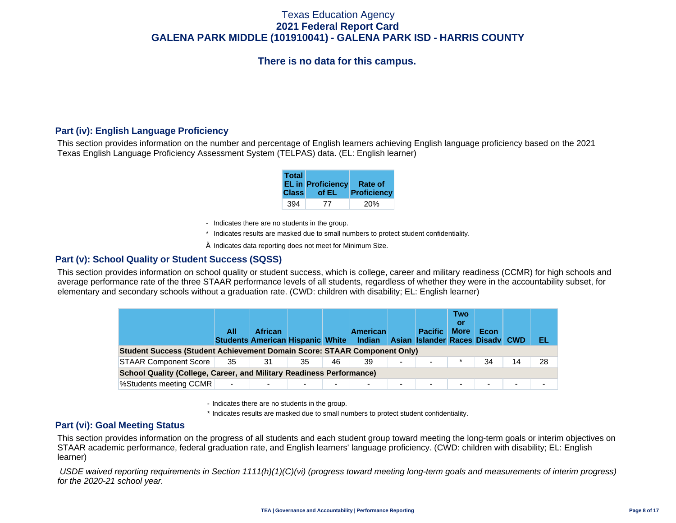# **There is no data for this campus.**

## **Part (iv): English Language Proficiency**

This section provides information on the number and percentage of English learners achieving English language proficiency based on the 2021 Texas English Language Proficiency Assessment System (TELPAS) data. (EL: English learner)

| <b>Total</b> | <b>EL in Proficiency</b> | Rate of     |
|--------------|--------------------------|-------------|
| <b>Class</b> | of EL                    | Proficiency |
| 394          | 77                       |             |

- Indicates there are no students in the group.
- \* Indicates results are masked due to small numbers to protect student confidentiality.
- $\diamond$  Indicates data reporting does not meet for Minimum Size.

### **Part (v): School Quality or Student Success (SQSS)**

This section provides information on school quality or student success, which is college, career and military readiness (CCMR) for high schools and average performance rate of the three STAAR performance levels of all students, regardless of whether they were in the accountability subset, for elementary and secondary schools without a graduation rate. (CWD: children with disability; EL: English learner)

|                                                                                 | All                      | <b>African</b><br><b>Students American Hispanic White Indian</b> |    |    | <b>American</b> |                          | <b>Pacific</b><br>Asian Islander Races Disady CWD | <b>Two</b><br>Οľ<br><b>More</b> | Econ                     |    | EL. |  |  |
|---------------------------------------------------------------------------------|--------------------------|------------------------------------------------------------------|----|----|-----------------|--------------------------|---------------------------------------------------|---------------------------------|--------------------------|----|-----|--|--|
| <b>Student Success (Student Achievement Domain Score: STAAR Component Only)</b> |                          |                                                                  |    |    |                 |                          |                                                   |                                 |                          |    |     |  |  |
| <b>STAAR Component Score</b>                                                    | 35                       | 31                                                               | 35 | 46 | 39              | $\overline{\phantom{0}}$ |                                                   |                                 | 34                       | 14 | 28  |  |  |
| <b>School Quality (College, Career, and Military Readiness Performance)</b>     |                          |                                                                  |    |    |                 |                          |                                                   |                                 |                          |    |     |  |  |
| %Students meeting CCMR                                                          | $\overline{\phantom{a}}$ |                                                                  |    | ۰. | -               | -                        | $\overline{\phantom{a}}$                          |                                 | $\overline{\phantom{0}}$ | ۰. |     |  |  |

- Indicates there are no students in the group.

\* Indicates results are masked due to small numbers to protect student confidentiality.

### **Part (vi): Goal Meeting Status**

This section provides information on the progress of all students and each student group toward meeting the long-term goals or interim objectives on STAAR academic performance, federal graduation rate, and English learners' language proficiency. (CWD: children with disability; EL: English learner)

 *USDE waived reporting requirements in Section 1111(h)(1)(C)(vi) (progress toward meeting long-term goals and measurements of interim progress) for the 2020-21 school year.*